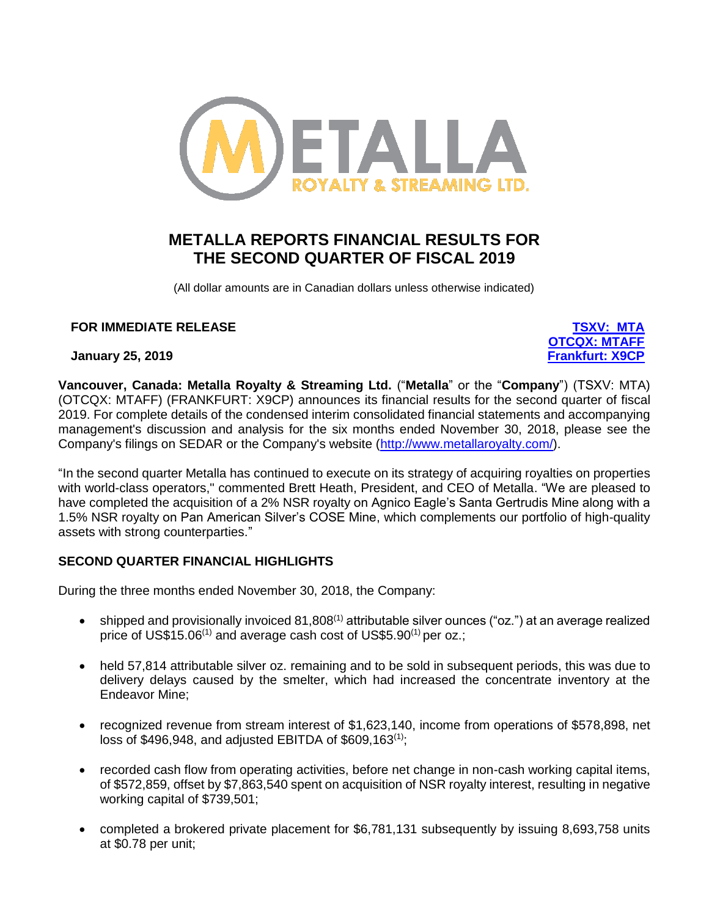

# **METALLA REPORTS FINANCIAL RESULTS FOR THE SECOND QUARTER OF FISCAL 2019**

(All dollar amounts are in Canadian dollars unless otherwise indicated)

# **FOR IMMEDIATE RELEASE [TSXV: MTA](https://web.tmxmoney.com/quote.php?qm_symbol=MTA)**

**January 25, 2019 [Frankfurt: X9CP](https://www.boerse-stuttgart.de/en/Excalibur-Resources-stock-CA59124U1003-Stock-Exchanges-197)**

**[OTCQX: MTAFF](https://www.otcmarkets.com/stock/MTAFF/quote)**

**Vancouver, Canada: Metalla Royalty & Streaming Ltd.** ("**Metalla**" or the "**Company**") (TSXV: MTA) (OTCQX: MTAFF) (FRANKFURT: X9CP) announces its financial results for the second quarter of fiscal 2019. For complete details of the condensed interim consolidated financial statements and accompanying management's discussion and analysis for the six months ended November 30, 2018, please see the Company's filings on SEDAR or the Company's website [\(http://www.metallaroyalty.com/\)](http://www.metallaroyalty.com/).

"In the second quarter Metalla has continued to execute on its strategy of acquiring royalties on properties with world-class operators," commented Brett Heath, President, and CEO of Metalla. "We are pleased to have completed the acquisition of a 2% NSR royalty on Agnico Eagle's Santa Gertrudis Mine along with a 1.5% NSR royalty on Pan American Silver's COSE Mine, which complements our portfolio of high-quality assets with strong counterparties."

# **SECOND QUARTER FINANCIAL HIGHLIGHTS**

During the three months ended November 30, 2018, the Company:

- shipped and provisionally invoiced  $81,808$ <sup>(1)</sup> attributable silver ounces ("oz.") at an average realized price of US\$15.06<sup>(1)</sup> and average cash cost of US\$5.90<sup>(1)</sup> per oz.;
- held 57,814 attributable silver oz. remaining and to be sold in subsequent periods, this was due to delivery delays caused by the smelter, which had increased the concentrate inventory at the Endeavor Mine;
- recognized revenue from stream interest of \$1,623,140, income from operations of \$578,898, net loss of \$496,948, and adjusted EBITDA of  $$609,163^{(1)}$$ ;
- recorded cash flow from operating activities, before net change in non-cash working capital items, of \$572,859, offset by \$7,863,540 spent on acquisition of NSR royalty interest, resulting in negative working capital of \$739,501;
- completed a brokered private placement for \$6,781,131 subsequently by issuing 8,693,758 units at \$0.78 per unit;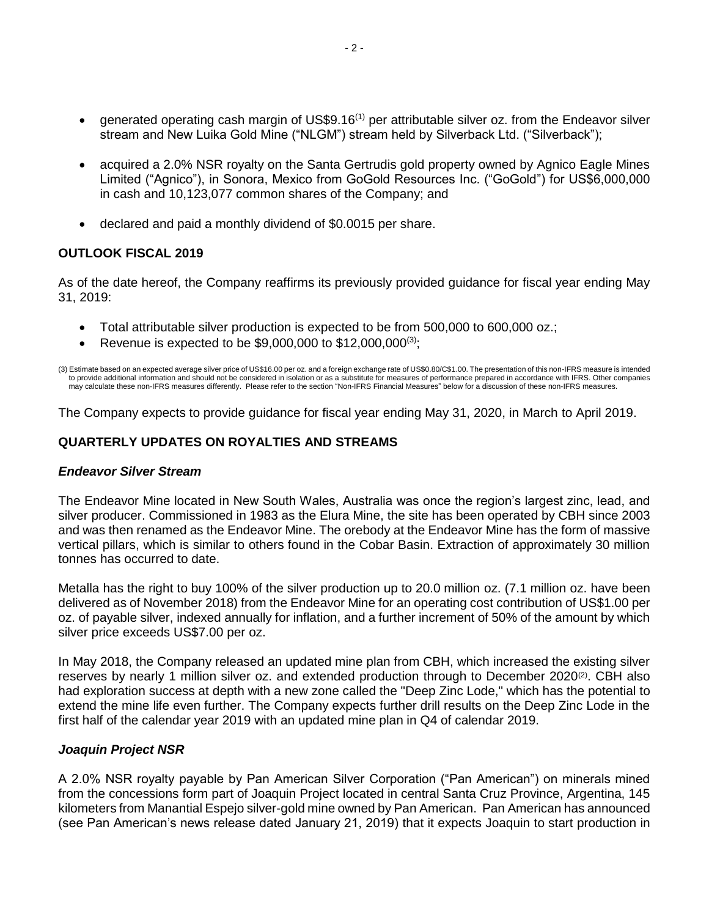- generated operating cash margin of US\$9.16<sup>(1)</sup> per attributable silver oz. from the Endeavor silver stream and New Luika Gold Mine ("NLGM") stream held by Silverback Ltd. ("Silverback");
- acquired a 2.0% NSR royalty on the Santa Gertrudis gold property owned by Agnico Eagle Mines Limited ("Agnico"), in Sonora, Mexico from GoGold Resources Inc. ("GoGold") for US\$6,000,000 in cash and 10,123,077 common shares of the Company; and
- declared and paid a monthly dividend of \$0.0015 per share.

# **OUTLOOK FISCAL 2019**

As of the date hereof, the Company reaffirms its previously provided guidance for fiscal year ending May 31, 2019:

- Total attributable silver production is expected to be from 500,000 to 600,000 oz.;
- Revenue is expected to be \$9,000,000 to \$12,000,000 $(3)$ ;

(3) Estimate based on an expected average silver price of US\$16.00 per oz. and a foreign exchange rate of US\$0.80/C\$1.00. The presentation of this non-IFRS measure is intended to provide additional information and should not be considered in isolation or as a substitute for measures of performance prepared in accordance with IFRS. Other companies<br>may calculate these non-IFRS measures differently

The Company expects to provide guidance for fiscal year ending May 31, 2020, in March to April 2019.

# **QUARTERLY UPDATES ON ROYALTIES AND STREAMS**

## *Endeavor Silver Stream*

The Endeavor Mine located in New South Wales, Australia was once the region's largest zinc, lead, and silver producer. Commissioned in 1983 as the Elura Mine, the site has been operated by CBH since 2003 and was then renamed as the Endeavor Mine. The orebody at the Endeavor Mine has the form of massive vertical pillars, which is similar to others found in the Cobar Basin. Extraction of approximately 30 million tonnes has occurred to date.

Metalla has the right to buy 100% of the silver production up to 20.0 million oz. (7.1 million oz. have been delivered as of November 2018) from the Endeavor Mine for an operating cost contribution of US\$1.00 per oz. of payable silver, indexed annually for inflation, and a further increment of 50% of the amount by which silver price exceeds US\$7.00 per oz.

In May 2018, the Company released an updated mine plan from CBH, which increased the existing silver reserves by nearly 1 million silver oz. and extended production through to December 2020<sup>(2)</sup>. CBH also had exploration success at depth with a new zone called the "Deep Zinc Lode," which has the potential to extend the mine life even further. The Company expects further drill results on the Deep Zinc Lode in the first half of the calendar year 2019 with an updated mine plan in Q4 of calendar 2019.

# *Joaquin Project NSR*

A 2.0% NSR royalty payable by Pan American Silver Corporation ("Pan American") on minerals mined from the concessions form part of Joaquin Project located in central Santa Cruz Province, Argentina, 145 kilometers from Manantial Espejo silver-gold mine owned by Pan American. Pan American has announced (see Pan American's news release dated January 21, 2019) that it expects Joaquin to start production in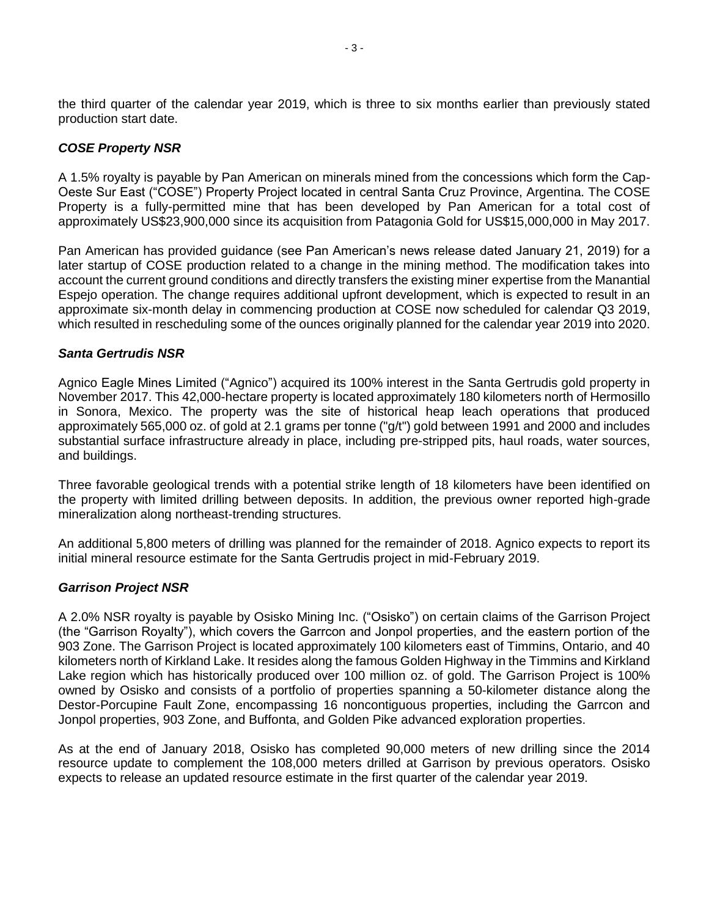the third quarter of the calendar year 2019, which is three to six months earlier than previously stated production start date.

# *COSE Property NSR*

A 1.5% royalty is payable by Pan American on minerals mined from the concessions which form the Cap-Oeste Sur East ("COSE") Property Project located in central Santa Cruz Province, Argentina. The COSE Property is a fully-permitted mine that has been developed by Pan American for a total cost of approximately US\$23,900,000 since its acquisition from Patagonia Gold for US\$15,000,000 in May 2017.

Pan American has provided guidance (see Pan American's news release dated January 21, 2019) for a later startup of COSE production related to a change in the mining method. The modification takes into account the current ground conditions and directly transfers the existing miner expertise from the Manantial Espejo operation. The change requires additional upfront development, which is expected to result in an approximate six-month delay in commencing production at COSE now scheduled for calendar Q3 2019, which resulted in rescheduling some of the ounces originally planned for the calendar year 2019 into 2020.

## *Santa Gertrudis NSR*

Agnico Eagle Mines Limited ("Agnico") acquired its 100% interest in the Santa Gertrudis gold property in November 2017. This 42,000-hectare property is located approximately 180 kilometers north of Hermosillo in Sonora, Mexico. The property was the site of historical heap leach operations that produced approximately 565,000 oz. of gold at 2.1 grams per tonne ("g/t") gold between 1991 and 2000 and includes substantial surface infrastructure already in place, including pre-stripped pits, haul roads, water sources, and buildings.

Three favorable geological trends with a potential strike length of 18 kilometers have been identified on the property with limited drilling between deposits. In addition, the previous owner reported high-grade mineralization along northeast-trending structures.

An additional 5,800 meters of drilling was planned for the remainder of 2018. Agnico expects to report its initial mineral resource estimate for the Santa Gertrudis project in mid-February 2019.

## *Garrison Project NSR*

A 2.0% NSR royalty is payable by Osisko Mining Inc. ("Osisko") on certain claims of the Garrison Project (the "Garrison Royalty"), which covers the Garrcon and Jonpol properties, and the eastern portion of the 903 Zone. The Garrison Project is located approximately 100 kilometers east of Timmins, Ontario, and 40 kilometers north of Kirkland Lake. It resides along the famous Golden Highway in the Timmins and Kirkland Lake region which has historically produced over 100 million oz. of gold. The Garrison Project is 100% owned by Osisko and consists of a portfolio of properties spanning a 50-kilometer distance along the Destor-Porcupine Fault Zone, encompassing 16 noncontiguous properties, including the Garrcon and Jonpol properties, 903 Zone, and Buffonta, and Golden Pike advanced exploration properties.

As at the end of January 2018, Osisko has completed 90,000 meters of new drilling since the 2014 resource update to complement the 108,000 meters drilled at Garrison by previous operators. Osisko expects to release an updated resource estimate in the first quarter of the calendar year 2019.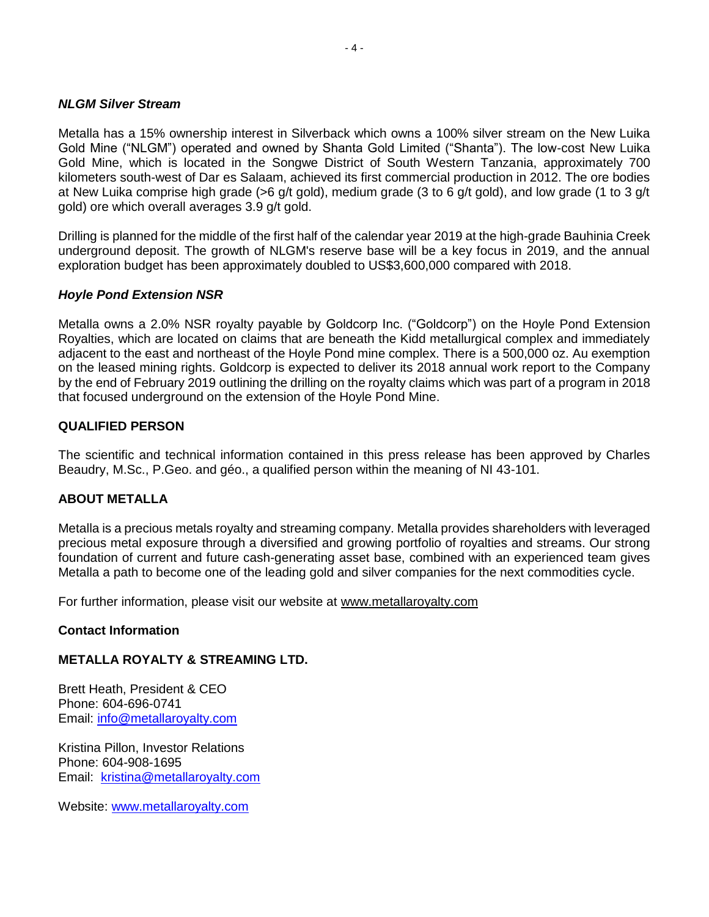## *NLGM Silver Stream*

Metalla has a 15% ownership interest in Silverback which owns a 100% silver stream on the New Luika Gold Mine ("NLGM") operated and owned by Shanta Gold Limited ("Shanta"). The low-cost New Luika Gold Mine, which is located in the Songwe District of South Western Tanzania, approximately 700 kilometers south-west of Dar es Salaam, achieved its first commercial production in 2012. The ore bodies at New Luika comprise high grade (>6 g/t gold), medium grade (3 to 6 g/t gold), and low grade (1 to 3 g/t gold) ore which overall averages 3.9 g/t gold.

Drilling is planned for the middle of the first half of the calendar year 2019 at the high-grade Bauhinia Creek underground deposit. The growth of NLGM's reserve base will be a key focus in 2019, and the annual exploration budget has been approximately doubled to US\$3,600,000 compared with 2018.

## *Hoyle Pond Extension NSR*

Metalla owns a 2.0% NSR royalty payable by Goldcorp Inc. ("Goldcorp") on the Hoyle Pond Extension Royalties, which are located on claims that are beneath the Kidd metallurgical complex and immediately adjacent to the east and northeast of the Hoyle Pond mine complex. There is a 500,000 oz. Au exemption on the leased mining rights. Goldcorp is expected to deliver its 2018 annual work report to the Company by the end of February 2019 outlining the drilling on the royalty claims which was part of a program in 2018 that focused underground on the extension of the Hoyle Pond Mine.

## **QUALIFIED PERSON**

The scientific and technical information contained in this press release has been approved by Charles Beaudry, M.Sc., P.Geo. and géo., a qualified person within the meaning of NI 43-101.

## **ABOUT METALLA**

Metalla is a precious metals royalty and streaming company. Metalla provides shareholders with leveraged precious metal exposure through a diversified and growing portfolio of royalties and streams. Our strong foundation of current and future cash-generating asset base, combined with an experienced team gives Metalla a path to become one of the leading gold and silver companies for the next commodities cycle.

For further information, please visit our website at [www.metallaroyalty.com](http://www.metallaroyalty.com/)

## **Contact Information**

## **METALLA ROYALTY & STREAMING LTD.**

Brett Heath, President & CEO Phone: [604-696-0741](tel:604-696-0741) Email: [info@metallaroyalty.com](mailto:info@metallaroyalty.com)

Kristina Pillon, Investor Relations Phone: 604-908-1695 Email: [kristina@metallaroyalty.com](mailto:kristina@metallaroyalty.com)

Website: [www.metallaroyalty.com](http://www.metallaroyalty.com/)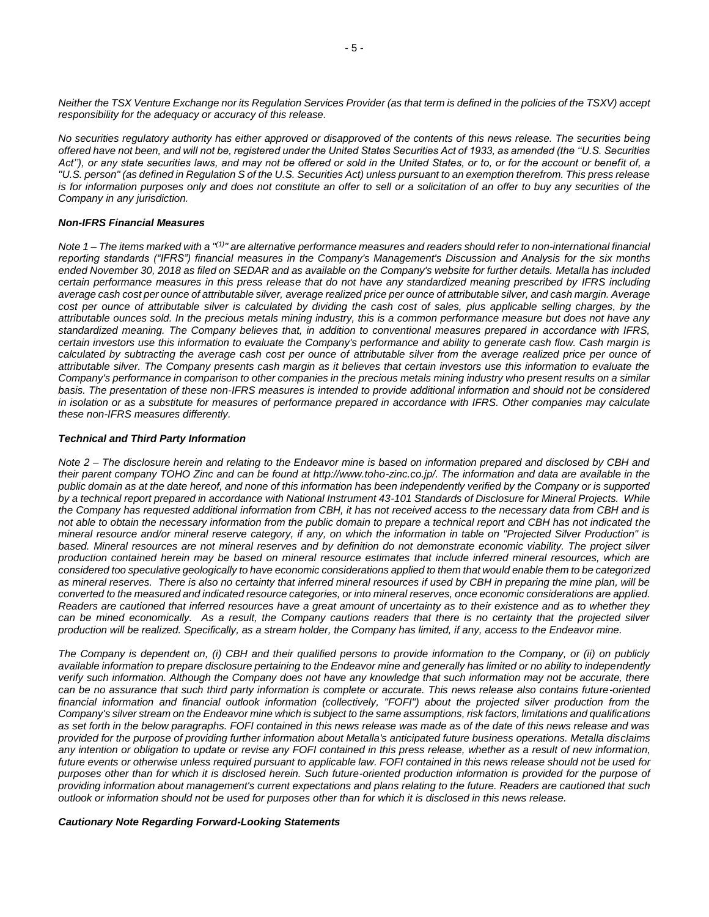*Neither the TSX Venture Exchange nor its Regulation Services Provider (as that term is defined in the policies of the TSXV) accept responsibility for the adequacy or accuracy of this release.*

*No securities regulatory authority has either approved or disapproved of the contents of this news release. The securities being offered have not been, and will not be, registered under the United States Securities Act of 1933, as amended (the ''U.S. Securities Act''), or any state securities laws, and may not be offered or sold in the United States, or to, or for the account or benefit of, a "U.S. person" (as defined in Regulation S of the U.S. Securities Act) unless pursuant to an exemption therefrom. This press release is for information purposes only and does not constitute an offer to sell or a solicitation of an offer to buy any securities of the Company in any jurisdiction.*

#### *Non-IFRS Financial Measures*

*Note 1 – The items marked with a "(1)" are alternative performance measures and readers should refer to non-international financial reporting standards ("IFRS") financial measures in the Company's Management's Discussion and Analysis for the six months ended November 30, 2018 as filed on SEDAR and as available on the Company's website for further details. Metalla has included certain performance measures in this press release that do not have any standardized meaning prescribed by IFRS including average cash cost per ounce of attributable silver, average realized price per ounce of attributable silver, and cash margin. Average cost per ounce of attributable silver is calculated by dividing the cash cost of sales, plus applicable selling charges, by the attributable ounces sold. In the precious metals mining industry, this is a common performance measure but does not have any standardized meaning. The Company believes that, in addition to conventional measures prepared in accordance with IFRS, certain investors use this information to evaluate the Company's performance and ability to generate cash flow. Cash margin is calculated by subtracting the average cash cost per ounce of attributable silver from the average realized price per ounce of attributable silver. The Company presents cash margin as it believes that certain investors use this information to evaluate the Company's performance in comparison to other companies in the precious metals mining industry who present results on a similar basis. The presentation of these non-IFRS measures is intended to provide additional information and should not be considered in isolation or as a substitute for measures of performance prepared in accordance with IFRS. Other companies may calculate these non-IFRS measures differently.*

#### *Technical and Third Party Information*

*Note 2 – The disclosure herein and relating to the Endeavor mine is based on information prepared and disclosed by CBH and their parent company TOHO Zinc and can be found at http://www.toho-zinc.co.jp/. The information and data are available in the public domain as at the date hereof, and none of this information has been independently verified by the Company or is supported by a technical report prepared in accordance with National Instrument 43-101 Standards of Disclosure for Mineral Projects. While the Company has requested additional information from CBH, it has not received access to the necessary data from CBH and is not able to obtain the necessary information from the public domain to prepare a technical report and CBH has not indicated the mineral resource and/or mineral reserve category, if any, on which the information in table on "Projected Silver Production" is based. Mineral resources are not mineral reserves and by definition do not demonstrate economic viability. The project silver production contained herein may be based on mineral resource estimates that include inferred mineral resources, which are considered too speculative geologically to have economic considerations applied to them that would enable them to be categorized as mineral reserves. There is also no certainty that inferred mineral resources if used by CBH in preparing the mine plan, will be converted to the measured and indicated resource categories, or into mineral reserves, once economic considerations are applied. Readers are cautioned that inferred resources have a great amount of uncertainty as to their existence and as to whether they*  can be mined economically. As a result, the Company cautions readers that there is no certainty that the projected silver *production will be realized. Specifically, as a stream holder, the Company has limited, if any, access to the Endeavor mine.*

*The Company is dependent on, (i) CBH and their qualified persons to provide information to the Company, or (ii) on publicly available information to prepare disclosure pertaining to the Endeavor mine and generally has limited or no ability to independently verify such information. Although the Company does not have any knowledge that such information may not be accurate, there can be no assurance that such third party information is complete or accurate. This news release also contains future-oriented financial information and financial outlook information (collectively, "FOFI") about the projected silver production from the Company's silver stream on the Endeavor mine which is subject to the same assumptions, risk factors, limitations and qualifications as set forth in the below paragraphs. FOFI contained in this news release was made as of the date of this news release and was provided for the purpose of providing further information about Metalla's anticipated future business operations. Metalla disclaims any intention or obligation to update or revise any FOFI contained in this press release, whether as a result of new information, future events or otherwise unless required pursuant to applicable law. FOFI contained in this news release should not be used for purposes other than for which it is disclosed herein. Such future-oriented production information is provided for the purpose of providing information about management's current expectations and plans relating to the future. Readers are cautioned that such outlook or information should not be used for purposes other than for which it is disclosed in this news release.* 

#### *Cautionary Note Regarding Forward-Looking Statements*